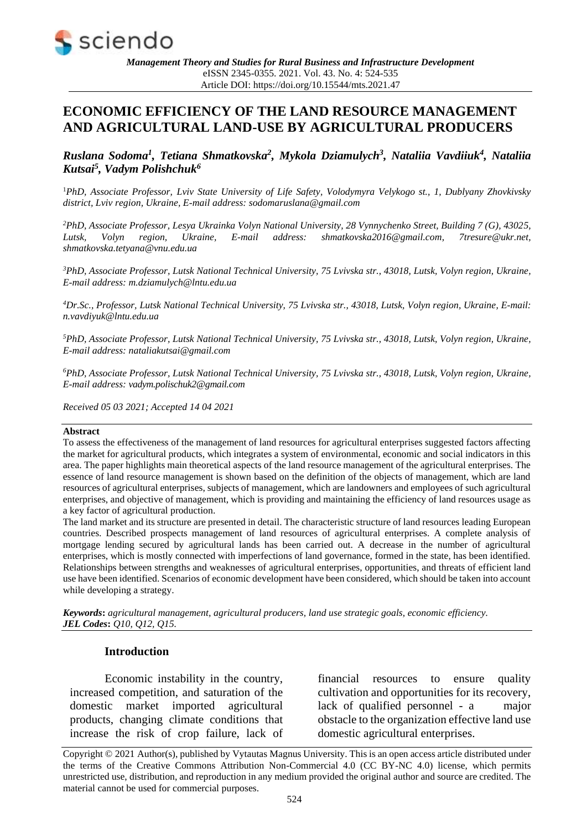

# **ECONOMIC EFFICIENCY OF THE LAND RESOURCE MANAGEMENT AND AGRICULTURAL LAND-USE BY AGRICULTURAL PRODUCERS**

## *Ruslana Sodoma<sup>1</sup> , Tetiana Shmatkovska<sup>2</sup> , Mykola Dziamulych<sup>3</sup> , Nataliia Vavdiiuk<sup>4</sup> , Nataliia Kutsai<sup>5</sup> , Vadym Polishchuk<sup>6</sup>*

<sup>1</sup>*PhD, Associate Professor, Lviv State University of Life Safety, Volodymyra Velykogo st., 1, Dublyany Zhovkivsky district, Lviv region, Ukraine, E-mail address: [sodomaruslana@gmail.com](mailto:sodomaruslana@gmail.com)*

*<sup>2</sup>PhD, Associate Professor, Lesya Ukrainka Volyn National University, 28 Vynnychenko Street, Building 7 (G), 43025, Lutsk, Volyn region, Ukraine, E-mail address: [shmatkovska2016@gmail.com,](mailto:shmatkovska2016@gmail.com) 7tresure@ukr.net, [shmatkovska.tetyana@vnu.edu.ua](mailto:shmatkovska.tetyana@vnu.edu.ua)*

*<sup>3</sup>PhD, Associate Professor, Lutsk National Technical University, 75 Lvivska str., 43018, Lutsk, Volyn region, Ukraine, E-mail address[: m.dziamulych@lntu.edu.ua](mailto:m.dziamulych@lntu.edu.ua)*

*<sup>4</sup>Dr.Sc., Professor, Lutsk National Technical University, 75 Lvivska str., 43018, Lutsk, Volyn region, Ukraine, E-mail: [n.vavdiyuk@lntu.edu.ua](mailto:n.vavdiyuk@lntu.edu.ua)*

*<sup>5</sup>PhD, Associate Professor, Lutsk National Technical University, 75 Lvivska str., 43018, Lutsk, Volyn region, Ukraine, E-mail address[: nataliakutsai@gmail.com](mailto:nataliakutsai@gmail.com)*

*<sup>6</sup>PhD, Associate Professor, Lutsk National Technical University, 75 Lvivska str., 43018, Lutsk, Volyn region, Ukraine, E-mail address: vadym.polischuk2@gmail.com*

*Received 05 03 2021; Accepted 14 04 2021*

#### **Abstract**

To assess the effectiveness of the management of land resources for agricultural enterprises suggested factors affecting the market for agricultural products, which integrates a system of environmental, economic and social indicators in this area. The paper highlights main theoretical aspects of the land resource management of the agricultural enterprises. The essence of land resource management is shown based on the definition of the objects of management, which are land resources of agricultural enterprises, subjects of management, which are landowners and employees of such agricultural enterprises, and objective of management, which is providing and maintaining the efficiency of land resources usage as a key factor of agricultural production.

The land market and its structure are presented in detail. The characteristic structure of land resources leading European countries. Described prospects management of land resources of agricultural enterprises. A complete analysis of mortgage lending secured by agricultural lands has been carried out. A decrease in the number of agricultural enterprises, which is mostly connected with imperfections of land governance, formed in the state, has been identified. Relationships between strengths and weaknesses of agricultural enterprises, opportunities, and threats of efficient land use have been identified. Scenarios of economic development have been considered, which should be taken into account while developing a strategy.

*Keywords***:** *agricultural management, agricultural producers, land use strategic goals, economic efficiency. JEL Codes***:** *Q10, Q12, Q15.*

### **Introduction**

Economic instability in the country, increased competition, and saturation of the domestic market imported agricultural products, changing climate conditions that increase the risk of crop failure, lack of

financial resources to ensure quality cultivation and opportunities for its recovery, lack of qualified personnel - a major obstacle to the organization effective land use domestic agricultural enterprises.

Copyright © [2021](tel:2021) Author(s), published by Vytautas Magnus University. This is an open access article distributed under the terms of the Creative Commons Attribution Non-Commercial 4.0 (CC BY-NC 4.0) license, which permits unrestricted use, distribution, and reproduction in any medium provided the original author and source are credited. The material cannot be used for commercial purposes.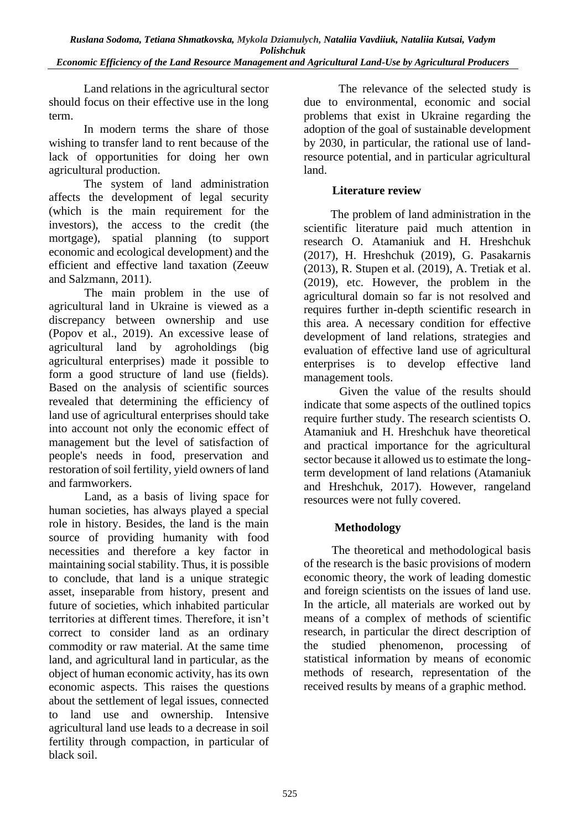*Ruslana Sodoma, Tetiana Shmatkovska, Mykola Dziamulych, Nataliia Vavdiiuk, Nataliia Kutsai, Vadym Polishchuk Economic Efficiency of the Land Resource Management and Agricultural Land-Use by Agricultural Producers*

Land relations in the agricultural sector should focus on their effective use in the long term.

In modern terms the share of those wishing to transfer land to rent because of the lack of opportunities for doing her own agricultural production.

The system of land administration affects the development of legal security (which is the main requirement for the investors), the access to the credit (the mortgage), spatial planning (to support economic and ecological development) and the efficient and effective land taxation (Zeeuw and Salzmann, 2011).

The main problem in the use of agricultural land in Ukraine is viewed as a discrepancy between ownership and use (Popov et al., 2019). An excessive lease of agricultural land by agroholdings (big agricultural enterprises) made it possible to form a good structure of land use (fields). Based on the analysis of scientific sources revealed that determining the efficiency of land use of agricultural enterprises should take into account not only the economic effect of management but the level of satisfaction of people's needs in food, preservation and restoration of soil fertility, yield owners of land and farmworkers.

Land, as a basis of living space for human societies, has always played a special role in history. Besides, the land is the main source of providing humanity with food necessities and therefore a key factor in maintaining social stability. Thus, it is possible to conclude, that land is a unique strategic asset, inseparable from history, present and future of societies, which inhabited particular territories at different times. Therefore, it isn't correct to consider land as an ordinary commodity or raw material. At the same time land, and agricultural land in particular, as the object of human economic activity, has its own economic aspects. This raises the questions about the settlement of legal issues, connected to land use and ownership. Intensive agricultural land use leads to a decrease in soil fertility through compaction, in particular of black soil.

The relevance of the selected study is due to environmental, economic and social problems that exist in Ukraine regarding the adoption of the goal of sustainable development by 2030, in particular, the rational use of landresource potential, and in particular agricultural land.

## **Literature review**

 The problem of land administration in the scientific literature paid much attention in research O. Atamaniuk and H. Hreshchuk (2017), H. Hreshchuk (2019), G. Pasakarnis (2013), R. Stupen et al. (2019), A. Tretiak et al. (2019), etc. However, the problem in the agricultural domain so far is not resolved and requires further in-depth scientific research in this area. A necessary condition for effective development of land relations, strategies and evaluation of effective land use of agricultural enterprises is to develop effective land management tools.

Given the value of the results should indicate that some aspects of the outlined topics require further study. The research scientists O. Atamaniuk and H. Hreshchuk have theoretical and practical importance for the agricultural sector because it allowed us to estimate the longterm development of land relations (Atamaniuk and Hreshchuk, 2017). However, rangeland resources were not fully covered.

## **Methodology**

The theoretical and methodological basis of the research is the basic provisions of modern economic theory, the work of leading domestic and foreign scientists on the issues of land use. In the article, all materials are worked out by means of a complex of methods of scientific research, in particular the direct description of the studied phenomenon, processing of statistical information by means of economic methods of research, representation of the received results by means of a graphic method.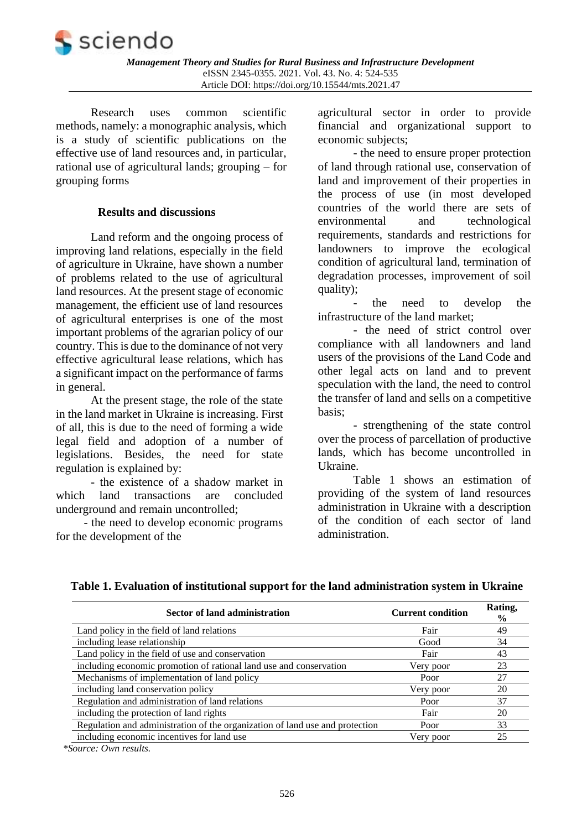

Research uses common scientific methods, namely: a monographic analysis, which is a study of scientific publications on the effective use of land resources and, in particular, rational use of agricultural lands; grouping – for grouping forms

### **Results and discussions**

Land reform and the ongoing process of improving land relations, especially in the field of agriculture in Ukraine, have shown a number of problems related to the use of agricultural land resources. At the present stage of economic management, the efficient use of land resources of agricultural enterprises is one of the most important problems of the agrarian policy of our country. This is due to the dominance of not very effective agricultural lease relations, which has a significant impact on the performance of farms in general.

At the present stage, the role of the state in the land market in Ukraine is increasing. First of all, this is due to the need of forming a wide legal field and adoption of a number of legislations. Besides, the need for state regulation is explained by:

- the existence of a shadow market in which land transactions are concluded underground and remain uncontrolled;

- the need to develop economic programs for the development of the

agricultural sector in order to provide financial and organizational support to economic subjects;

- the need to ensure proper protection of land through rational use, conservation of land and improvement of their properties in the process of use (in most developed countries of the world there are sets of environmental and technological requirements, standards and restrictions for landowners to improve the ecological condition of agricultural land, termination of degradation processes, improvement of soil quality);

the need to develop the infrastructure of the land market;

- the need of strict control over compliance with all landowners and land users of the provisions of the Land Code and other legal acts on land and to prevent speculation with the land, the need to control the transfer of land and sells on a competitive basis;

- strengthening of the state control over the process of parcellation of productive lands, which has become uncontrolled in Ukraine.

Table 1 shows an estimation of providing of the system of land resources administration in Ukraine with a description of the condition of each sector of land administration.

| Sector of land administration                                                | <b>Current condition</b> | Rating,<br>$\frac{6}{9}$ |
|------------------------------------------------------------------------------|--------------------------|--------------------------|
| Land policy in the field of land relations                                   | Fair                     | 49                       |
| including lease relationship                                                 | Good                     | 34                       |
| Land policy in the field of use and conservation                             | Fair                     | 43                       |
| including economic promotion of rational land use and conservation           | Very poor                | 23                       |
| Mechanisms of implementation of land policy                                  | Poor                     | 27                       |
| including land conservation policy                                           | Very poor                | 20                       |
| Regulation and administration of land relations                              | Poor                     | 37                       |
| including the protection of land rights                                      | Fair                     | 20                       |
| Regulation and administration of the organization of land use and protection | Poor                     | 33                       |
| including economic incentives for land use                                   | Very poor                | 25                       |

### **Table 1. Evaluation of institutional support for the land administration system in Ukraine**

*\*Source: Own results.*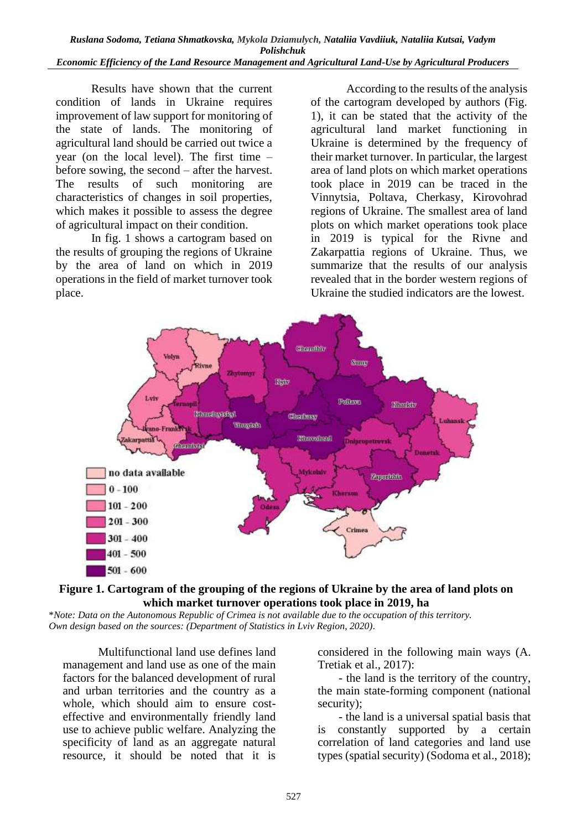Results have shown that the current condition of lands in Ukraine requires improvement of law support for monitoring of the state of lands. The monitoring of agricultural land should be carried out twice a year (on the local level). The first time – before sowing, the second – after the harvest. The results of such monitoring are characteristics of changes in soil properties, which makes it possible to assess the degree of agricultural impact on their condition.

In fig. 1 shows a cartogram based on the results of grouping the regions of Ukraine by the area of land on which in 2019 operations in the field of market turnover took place.

According to the results of the analysis of the cartogram developed by authors (Fig. 1), it can be stated that the activity of the agricultural land market functioning in Ukraine is determined by the frequency of their market turnover. In particular, the largest area of land plots on which market operations took place in 2019 can be traced in the Vinnytsia, Poltava, Cherkasy, Kirovohrad regions of Ukraine. The smallest area of land plots on which market operations took place in 2019 is typical for the Rivne and Zakarpattia regions of Ukraine. Thus, we summarize that the results of our analysis revealed that in the border western regions of Ukraine the studied indicators are the lowest.





\**Note: Data on the Autonomous Republic of Crimea is not available due to the occupation of this territory. Own design based on the sources: (Department of Statistics in Lviv Region, 2020).*

Multifunctional land use defines land management and land use as one of the main factors for the balanced development of rural and urban territories and the country as a whole, which should aim to ensure costeffective and environmentally friendly land use to achieve public welfare. Analyzing the specificity of land as an aggregate natural resource, it should be noted that it is

considered in the following main ways (A. Tretiak et al., 2017):

- the land is the territory of the country, the main state-forming component (national security);

- the land is a universal spatial basis that is constantly supported by a certain correlation of land categories and land use types (spatial security) (Sodoma et al., 2018);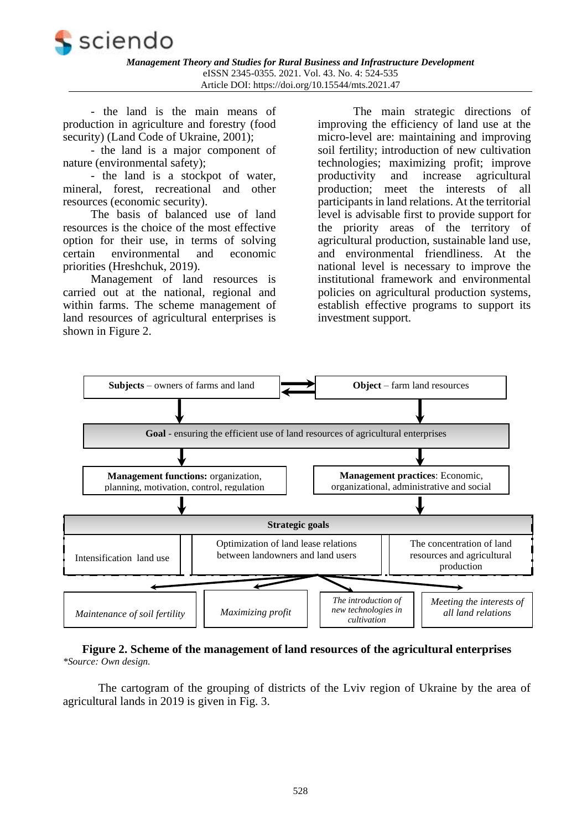

- the land is the main means of production in agriculture and forestry (food security) (Land Code of Ukraine, 2001);

- the land is a major component of nature (environmental safety);

- the land is a stockpot of water, mineral, forest, recreational and other resources (economic security).

The basis of balanced use of land resources is the choice of the most effective option for their use, in terms of solving certain environmental and economic priorities (Hreshchuk, 2019).

Management of land resources is carried out at the national, regional and within farms. The scheme management of land resources of agricultural enterprises is shown in Figure 2.

The main strategic directions of improving the efficiency of land use at the micro-level are: maintaining and improving soil fertility; introduction of new cultivation technologies; maximizing profit; improve productivity and increase agricultural production; meet the interests of all participants in land relations. At the territorial level is advisable first to provide support for the priority areas of the territory of agricultural production, sustainable land use, and environmental friendliness. At the national level is necessary to improve the institutional framework and environmental policies on agricultural production systems, establish effective programs to support its investment support.



#### **Figure 2. Scheme of the management of land resources of the agricultural enterprises** *\*Source: Own design.*

The cartogram of the grouping of districts of the Lviv region of Ukraine by the area of agricultural lands in 2019 is given in Fig. 3.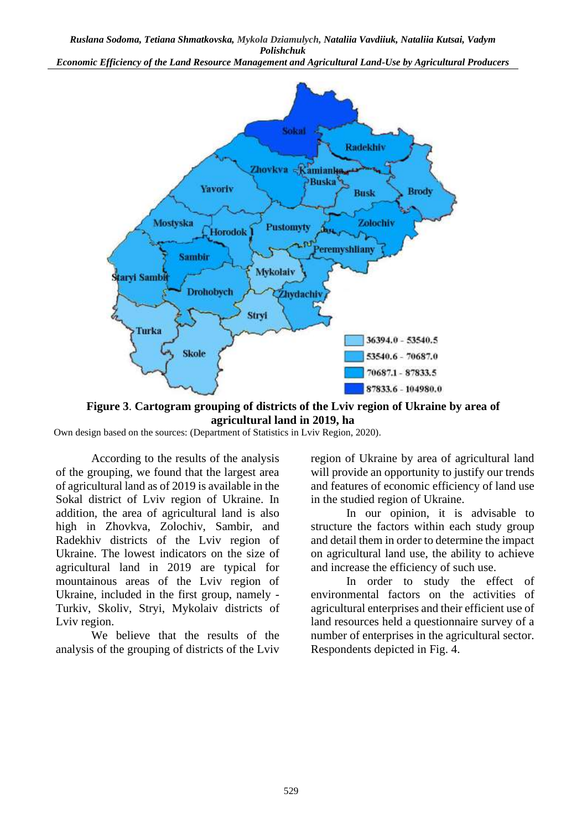*Ruslana Sodoma, Tetiana Shmatkovska, Mykola Dziamulych, Nataliia Vavdiiuk, Nataliia Kutsai, Vadym Polishchuk*

*Economic Efficiency of the Land Resource Management and Agricultural Land-Use by Agricultural Producers*



**Figure 3**. **Cartogram grouping of districts of the Lviv region of Ukraine by area of agricultural land in 2019, ha**

Own design based on the sources: (Department of Statistics in Lviv Region, 2020).

According to the results of the analysis of the grouping, we found that the largest area of agricultural land as of 2019 is available in the Sokal district of Lviv region of Ukraine. In addition, the area of agricultural land is also high in Zhovkva, Zolochiv, Sambir, and Radekhiv districts of the Lviv region of Ukraine. The lowest indicators on the size of agricultural land in 2019 are typical for mountainous areas of the Lviv region of Ukraine, included in the first group, namely - Turkiv, Skoliv, Stryi, Mykolaiv districts of Lviv region.

We believe that the results of the analysis of the grouping of districts of the Lviv region of Ukraine by area of agricultural land will provide an opportunity to justify our trends and features of economic efficiency of land use in the studied region of Ukraine.

In our opinion, it is advisable to structure the factors within each study group and detail them in order to determine the impact on agricultural land use, the ability to achieve and increase the efficiency of such use.

In order to study the effect of environmental factors on the activities of agricultural enterprises and their efficient use of land resources held a questionnaire survey of a number of enterprises in the agricultural sector. Respondents depicted in Fig. 4.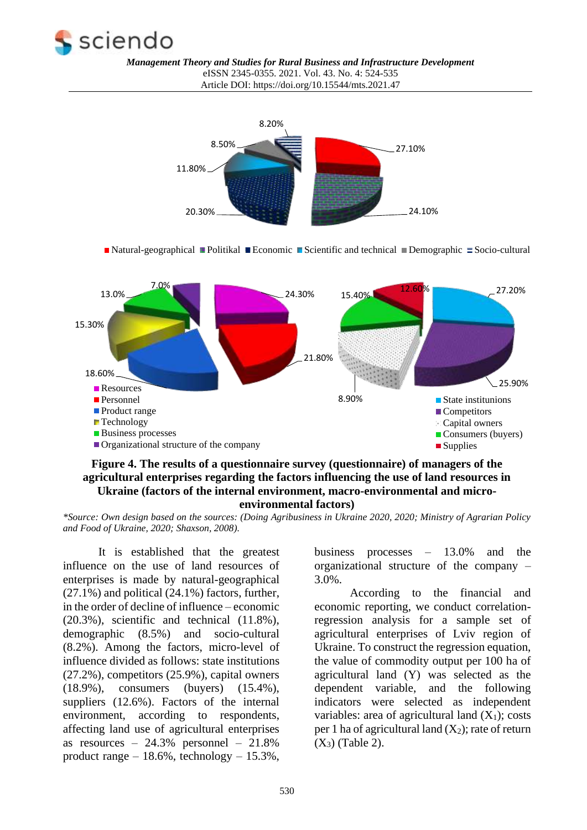



#### **Figure 4. The results of a questionnaire survey (questionnaire) of managers of the agricultural enterprises regarding the factors influencing the use of land resources in Ukraine (factors of the internal environment, macro-environmental and microenvironmental factors)**

*\*Source: Own design based on the sources: (Doing Agribusiness in Ukraine 2020, 2020; Ministry of Agrarian Policy and Food of Ukraine, 2020; Shaxson, 2008).*

It is established that the greatest influence on the use of land resources of enterprises is made by natural-geographical (27.1%) and political (24.1%) factors, further, in the order of decline of influence – economic  $(20.3\%)$ , scientific and technical  $(11.8\%)$ , demographic (8.5%) and socio-cultural (8.2%). Among the factors, micro-level of influence divided as follows: state institutions (27.2%), competitors (25.9%), capital owners (18.9%), consumers (buyers) (15.4%), suppliers (12.6%). Factors of the internal environment, according to respondents, affecting land use of agricultural enterprises as resources –  $24.3\%$  personnel –  $21.8\%$ product range  $-18.6\%$ , technology  $-15.3\%$ , business processes – 13.0% and the organizational structure of the company – 3.0%.

According to the financial and economic reporting, we conduct correlationregression analysis for a sample set of agricultural enterprises of Lviv region of Ukraine. To construct the regression equation, the value of commodity output per 100 ha of agricultural land (Y) was selected as the dependent variable, and the following indicators were selected as independent variables: area of agricultural land  $(X_1)$ ; costs per 1 ha of agricultural land  $(X_2)$ ; rate of return (X3) (Table 2).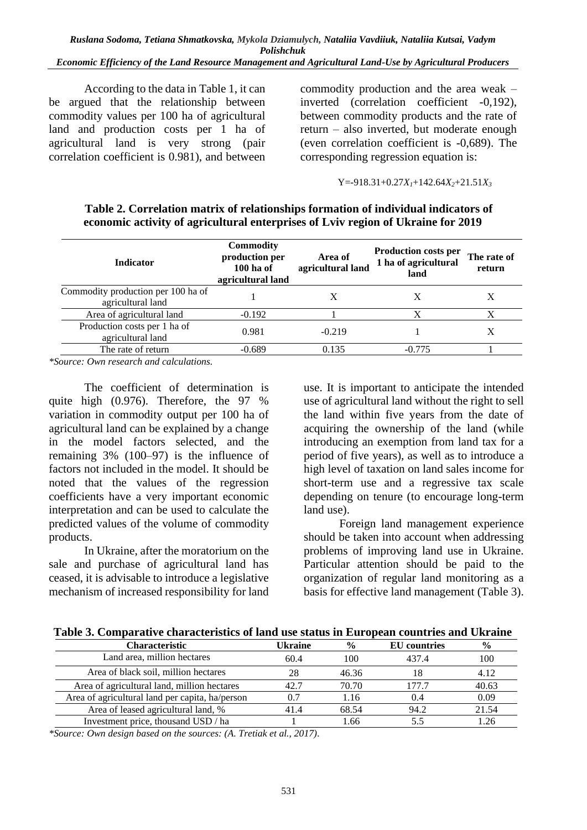#### *Economic Efficiency of the Land Resource Management and Agricultural Land-Use by Agricultural Producers*

According to the data in Table 1, it can be argued that the relationship between commodity values per 100 ha of agricultural land and production costs per 1 ha of agricultural land is very strong (pair correlation coefficient is 0.981), and between

commodity production and the area weak – inverted (correlation coefficient -0,192), between commodity products and the rate of return – also inverted, but moderate enough (even correlation coefficient is -0,689). The corresponding regression equation is:

$$
Y = -918.31 + 0.27X_1 + 142.64X_2 + 21.51X_3
$$

#### **Table 2. Correlation matrix of relationships formation of individual indicators of economic activity of agricultural enterprises of Lviv region of Ukraine for 2019**

| <b>Indicator</b>                                        | <b>Commodity</b><br>production per<br>$100$ ha of<br>agricultural land | Area of<br>agricultural land | <b>Production costs per</b><br>1 ha of agricultural<br>land | The rate of<br>return |
|---------------------------------------------------------|------------------------------------------------------------------------|------------------------------|-------------------------------------------------------------|-----------------------|
| Commodity production per 100 ha of<br>agricultural land |                                                                        |                              |                                                             |                       |
| Area of agricultural land                               | $-0.192$                                                               |                              | Х                                                           | Х                     |
| Production costs per 1 ha of<br>agricultural land       | 0.981                                                                  | $-0.219$                     |                                                             | Х                     |
| The rate of return                                      | $-0.689$                                                               | 0.135                        | $-0.775$                                                    |                       |

*\*Source: Own research and calculations.* 

The coefficient of determination is quite high (0.976). Therefore, the 97 % variation in commodity output per 100 ha of agricultural land can be explained by a change in the model factors selected, and the remaining 3% (100–97) is the influence of factors not included in the model. It should be noted that the values of the regression coefficients have a very important economic interpretation and can be used to calculate the predicted values of the volume of commodity products.

In Ukraine, after the moratorium on the sale and purchase of agricultural land has ceased, it is advisable to introduce a legislative mechanism of increased responsibility for land use. It is important to anticipate the intended use of agricultural land without the right to sell the land within five years from the date of acquiring the ownership of the land (while introducing an exemption from land tax for a period of five years), as well as to introduce a high level of taxation on land sales income for short-term use and a regressive tax scale depending on tenure (to encourage long-term land use).

Foreign land management experience should be taken into account when addressing problems of improving land use in Ukraine. Particular attention should be paid to the organization of regular land monitoring as a basis for effective land management (Table 3).

### **Table 3. Comparative characteristics of land use status in European countries and Ukraine**

| Characteristic                                  | Ukraine | $\frac{0}{0}$ | <b>EU</b> countries | $\frac{6}{9}$   |
|-------------------------------------------------|---------|---------------|---------------------|-----------------|
| Land area, million hectares                     | 60.4    | 100           | 437.4               | 100             |
| Area of black soil, million hectares            | 28      | 46.36         |                     | 4.12            |
| Area of agricultural land, million hectares     | 42.7    | 70.70         | 177.7               | 40.63           |
| Area of agricultural land per capita, ha/person |         | 1.16          | 0.4                 | 0.09            |
| Area of leased agricultural land, %             | 41.4    | 68.54         | 94.2                | 21.54           |
| Investment price, thousand USD / ha             |         | 66. ا         |                     | $\overline{26}$ |

*\*Source: Own design based on the sources: (A. Tretiak et al., 2017).*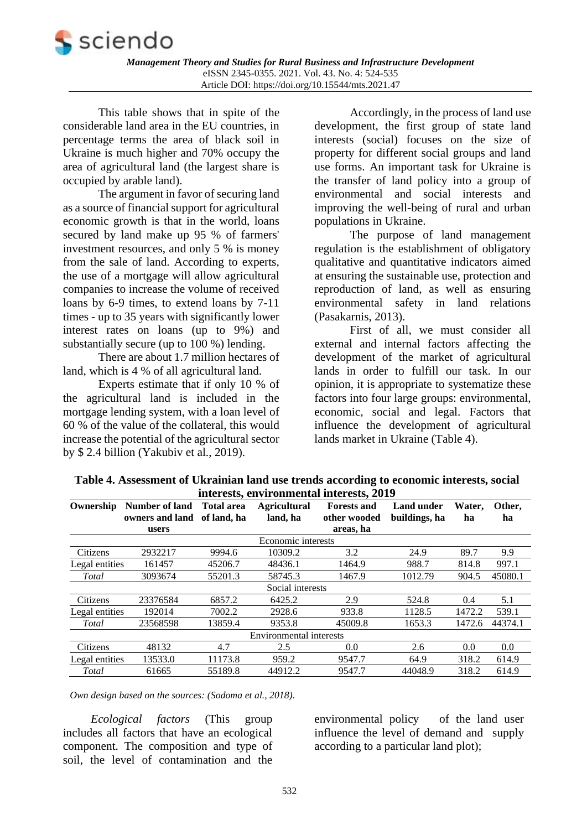

This table shows that in spite of the considerable land area in the EU countries, in percentage terms the area of black soil in Ukraine is much higher and 70% occupy the area of agricultural land (the largest share is occupied by arable land).

The argument in favor of securing land as a source of financial support for agricultural economic growth is that in the world, loans secured by land make up 95 % of farmers' investment resources, and only 5 % is money from the sale of land. According to experts, the use of a mortgage will allow agricultural companies to increase the volume of received loans by 6-9 times, to extend loans by 7-11 times - up to 35 years with significantly lower interest rates on loans (up to 9%) and substantially secure (up to 100 %) lending.

There are about 1.7 million hectares of land, which is 4 % of all agricultural land.

Experts estimate that if only 10 % of the agricultural land is included in the mortgage lending system, with a loan level of 60 % of the value of the collateral, this would increase the potential of the agricultural sector by \$ 2.4 billion (Yakubiv et al., 2019).

Accordingly, in the process of land use development, the first group of state land interests (social) focuses on the size of property for different social groups and land use forms. An important task for Ukraine is the transfer of land policy into a group of environmental and social interests and improving the well-being of rural and urban populations in Ukraine.

The purpose of land management regulation is the establishment of obligatory qualitative and quantitative indicators aimed at ensuring the sustainable use, protection and reproduction of land, as well as ensuring environmental safety in land relations (Pasakarnis, 2013).

First of all, we must consider all external and internal factors affecting the development of the market of agricultural lands in order to fulfill our task. In our opinion, it is appropriate to systematize these factors into four large groups: environmental, economic, social and legal. Factors that influence the development of agricultural lands market in Ukraine (Table 4).

| mici csis, chvn omnichial mici csis, 2017 |                   |                                 |                                    |                                    |              |              |
|-------------------------------------------|-------------------|---------------------------------|------------------------------------|------------------------------------|--------------|--------------|
| <b>Number of land</b>                     | <b>Total area</b> | <b>Agricultural</b><br>land, ha | <b>Forests and</b><br>other wooded | <b>Land under</b><br>buildings, ha | Water,<br>ha | Other.<br>ha |
| users                                     |                   |                                 | areas, ha                          |                                    |              |              |
|                                           |                   |                                 |                                    |                                    |              |              |
| 2932217                                   | 9994.6            | 10309.2                         | 3.2                                | 24.9                               | 89.7         | 9.9          |
| Legal entities<br>161457                  | 45206.7           | 48436.1                         | 1464.9                             | 988.7                              | 814.8        | 997.1        |
| 3093674                                   | 55201.3           | 58745.3                         | 1467.9                             | 1012.79                            | 904.5        | 45080.1      |
| Social interests                          |                   |                                 |                                    |                                    |              |              |
| 23376584                                  | 6857.2            | 6425.2                          | 2.9                                | 524.8                              | 0.4          | 5.1          |
| 192014<br>Legal entities                  | 7002.2            | 2928.6                          | 933.8                              | 1128.5                             | 1472.2       | 539.1        |
| 23568598                                  | 13859.4           | 9353.8                          | 45009.8                            | 1653.3                             | 1472.6       | 44374.1      |
| Environmental interests                   |                   |                                 |                                    |                                    |              |              |
| 48132                                     | 4.7               | 2.5                             | 0.0                                | 2.6                                | 0.0          | 0.0          |
| 13533.0<br>Legal entities                 | 11173.8           | 959.2                           | 9547.7                             | 64.9                               | 318.2        | 614.9        |
| 61665                                     | 55189.8           | 44912.2                         | 9547.7                             | 44048.9                            | 318.2        | 614.9        |
|                                           |                   | owners and land of land, ha     |                                    | Economic interests                 |              |              |

**Table 4. Assessment of Ukrainian land use trends according to economic interests, social interests, environmental interests, 2019**

*Own design based on the sources: (Sodoma et al., 2018).*

*Ecological factors* (This group includes all factors that have an ecological component. The composition and type of soil, the level of contamination and the

environmental policy of the land user influence the level of demand and supply according to a particular land plot);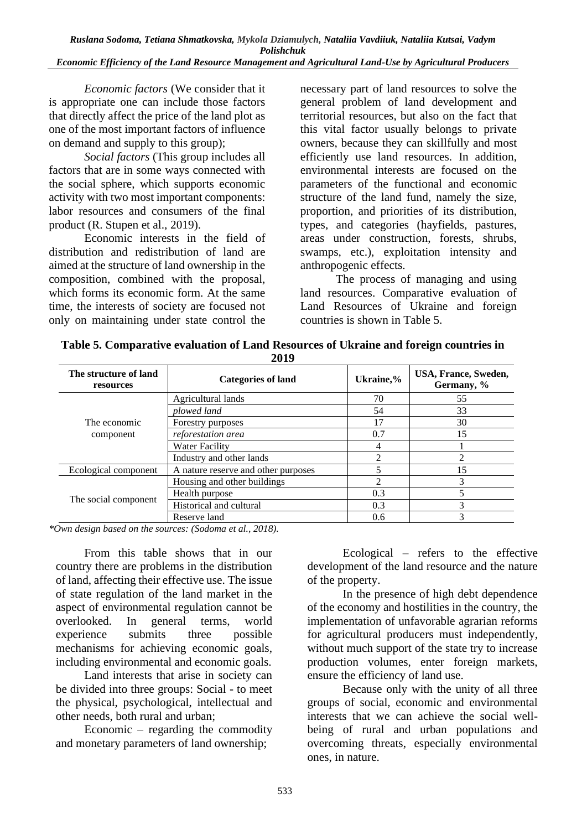*Economic factors* (We consider that it is appropriate one can include those factors that directly affect the price of the land plot as one of the most important factors of influence on demand and supply to this group);

*Social factors* (This group includes all factors that are in some ways connected with the social sphere, which supports economic activity with two most important components: labor resources and consumers of the final product (R. Stupen et al., 2019).

Economic interests in the field of distribution and redistribution of land are aimed at the structure of land ownership in the composition, combined with the proposal, which forms its economic form. At the same time, the interests of society are focused not only on maintaining under state control the

necessary part of land resources to solve the general problem of land development and territorial resources, but also on the fact that this vital factor usually belongs to private owners, because they can skillfully and most efficiently use land resources. In addition, environmental interests are focused on the parameters of the functional and economic structure of the land fund, namely the size, proportion, and priorities of its distribution, types, and categories (hayfields, pastures, areas under construction, forests, shrubs, swamps, etc.), exploitation intensity and anthropogenic effects.

The process of managing and using land resources. Comparative evaluation of Land Resources of Ukraine and foreign countries is shown in Table 5.

**Table 5. Comparative evaluation of Land Resources of Ukraine and foreign countries in 2019**

| The structure of land<br>resources | <b>Categories of land</b>           | Ukraine,%      | USA, France, Sweden,<br>Germany, % |
|------------------------------------|-------------------------------------|----------------|------------------------------------|
|                                    | Agricultural lands                  | 70             | 55                                 |
|                                    | plowed land                         | 54             | 33                                 |
| The economic<br>component          | Forestry purposes                   | 17             | 30                                 |
|                                    | reforestation area                  | 0.7            | 15                                 |
|                                    | Water Facility                      | 4              |                                    |
|                                    | Industry and other lands            | $\mathfrak{D}$ | $\mathfrak{D}$                     |
| Ecological component               | A nature reserve and other purposes | 5              | 15                                 |
| The social component               | Housing and other buildings         | ↑              | 3                                  |
|                                    | Health purpose                      | 0.3            |                                    |
|                                    | Historical and cultural             | 0.3            | 3                                  |
|                                    | Reserve land                        | 0.6            | 3                                  |

*\*Own design based on the sources: (Sodoma et al., 2018).*

From this table shows that in our country there are problems in the distribution of land, affecting their effective use. The issue of state regulation of the land market in the aspect of environmental regulation cannot be overlooked. In general terms, world experience submits three possible mechanisms for achieving economic goals, including environmental and economic goals.

Land interests that arise in society can be divided into three groups: Social - to meet the physical, psychological, intellectual and other needs, both rural and urban;

Economic – regarding the commodity and monetary parameters of land ownership;

Ecological – refers to the effective development of the land resource and the nature of the property.

In the presence of high debt dependence of the economy and hostilities in the country, the implementation of unfavorable agrarian reforms for agricultural producers must independently, without much support of the state try to increase production volumes, enter foreign markets, ensure the efficiency of land use.

Because only with the unity of all three groups of social, economic and environmental interests that we can achieve the social wellbeing of rural and urban populations and overcoming threats, especially environmental ones, in nature.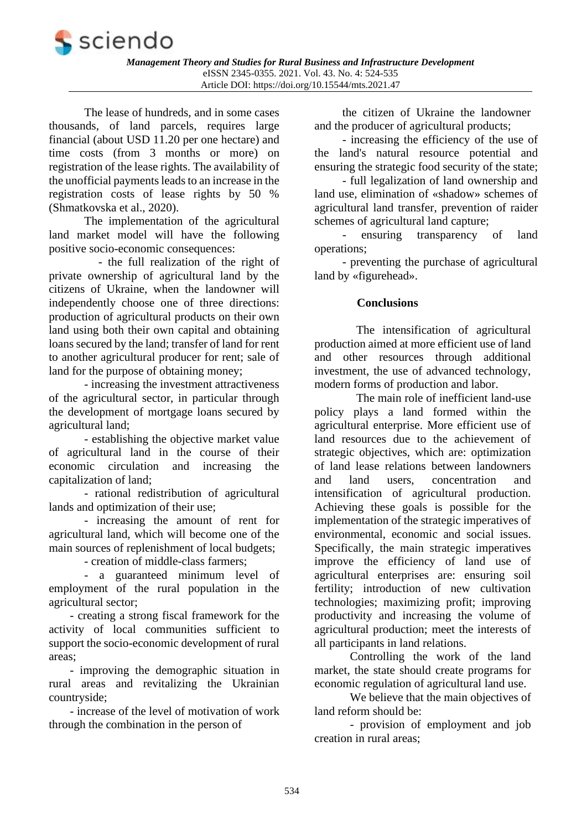

The lease of hundreds, and in some cases thousands, of land parcels, requires large financial (about USD 11.20 per one hectare) and time costs (from 3 months or more) on registration of the lease rights. The availability of the unofficial payments leads to an increase in the registration costs of lease rights by 50 % (Shmatkovska et al., 2020).

The implementation of the agricultural land market model will have the following positive socio-economic consequences:

- the full realization of the right of private ownership of agricultural land by the citizens of Ukraine, when the landowner will independently choose one of three directions: production of agricultural products on their own land using both their own capital and obtaining loans secured by the land; transfer of land for rent to another agricultural producer for rent; sale of land for the purpose of obtaining money;

- increasing the investment attractiveness of the agricultural sector, in particular through the development of mortgage loans secured by agricultural land;

- establishing the objective market value of agricultural land in the course of their economic circulation and increasing the capitalization of land;

- rational redistribution of agricultural lands and optimization of their use;

- increasing the amount of rent for agricultural land, which will become one of the main sources of replenishment of local budgets;

- creation of middle-class farmers;

- a guaranteed minimum level of employment of the rural population in the agricultural sector;

- creating a strong fiscal framework for the activity of local communities sufficient to support the socio-economic development of rural areas;

- improving the demographic situation in rural areas and revitalizing the Ukrainian countryside;

- increase of the level of motivation of work through the combination in the person of

the citizen of Ukraine the landowner and the producer of agricultural products;

- increasing the efficiency of the use of the land's natural resource potential and ensuring the strategic food security of the state;

- full legalization of land ownership and land use, elimination of «shadow» schemes of agricultural land transfer, prevention of raider schemes of agricultural land capture;

- ensuring transparency of land operations;

- preventing the purchase of agricultural land by «figurehead».

### **Conclusions**

The intensification of agricultural production aimed at more efficient use of land and other resources through additional investment, the use of advanced technology, modern forms of production and labor.

The main role of inefficient land-use policy plays a land formed within the agricultural enterprise. More efficient use of land resources due to the achievement of strategic objectives, which are: optimization of land lease relations between landowners and land users, concentration and intensification of agricultural production. Achieving these goals is possible for the implementation of the strategic imperatives of environmental, economic and social issues. Specifically, the main strategic imperatives improve the efficiency of land use of agricultural enterprises are: ensuring soil fertility; introduction of new cultivation technologies; maximizing profit; improving productivity and increasing the volume of agricultural production; meet the interests of all participants in land relations.

Controlling the work of the land market, the state should create programs for economic regulation of agricultural land use.

We believe that the main objectives of land reform should be:

- provision of employment and job creation in rural areas;